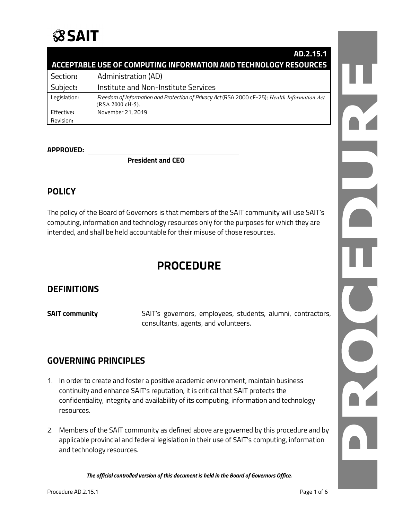## **SSAIT**

|                                                                  | AD.2.15.1                                                                                                         |
|------------------------------------------------------------------|-------------------------------------------------------------------------------------------------------------------|
| ACCEPTABLE USE OF COMPUTING INFORMATION AND TECHNOLOGY RESOURCES |                                                                                                                   |
| Section:                                                         | Administration (AD)                                                                                               |
| Subject:                                                         | Institute and Non-Institute Services                                                                              |
| Legislation:                                                     | Freedom of Information and Protection of Privacy Act (RSA 2000 cF-25); Health Information Act<br>(RSA 2000 cH-5). |
| Effective:                                                       | November 21, 2019                                                                                                 |
| Revision:                                                        |                                                                                                                   |

### **APPROVED:**

**President and CEO**

## **POLICY**

The policy of the Board of Governors is that members of the SAIT community will use SAIT's computing, information and technology resources only for the purposes for which they are intended, and shall be held accountable for their misuse of those resources.

## **PROCEDURE**

## **DEFINITIONS**

**SAIT community** SAIT's governors, employees, students, alumni, contractors, consultants, agents, and volunteers.

## **GOVERNING PRINCIPLES**

- 1. In order to create and foster a positive academic environment, maintain business continuity and enhance SAIT's reputation, it is critical that SAIT protects the confidentiality, integrity and availability of its computing, information and technology resources.
- 2. Members of the SAIT community as defined above are governed by this procedure and by applicable provincial and federal legislation in their use of SAIT's computing, information and technology resources.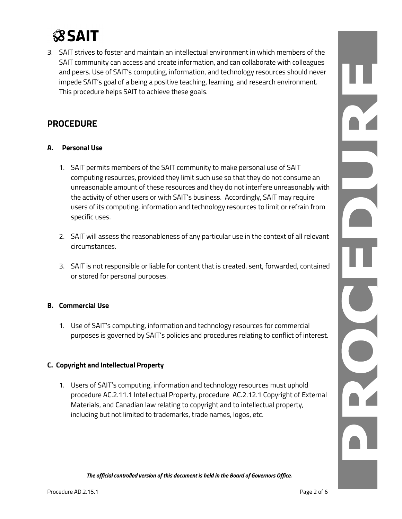# **SSAIT**

3. SAIT strives to foster and maintain an intellectual environment in which members of the SAIT community can access and create information, and can collaborate with colleagues and peers. Use of SAIT's computing, information, and technology resources should never impede SAIT's goal of a being a positive teaching, learning, and research environment. This procedure helps SAIT to achieve these goals.

## **PROCEDURE**

## **A. Personal Use**

- 1. SAIT permits members of the SAIT community to make personal use of SAIT computing resources, provided they limit such use so that they do not consume an unreasonable amount of these resources and they do not interfere unreasonably with the activity of other users or with SAIT's business. Accordingly, SAIT may require users of its computing, information and technology resources to limit or refrain from specific uses.
- 2. SAIT will assess the reasonableness of any particular use in the context of all relevant circumstances.
- 3. SAIT is not responsible or liable for content that is created, sent, forwarded, contained or stored for personal purposes.

## **B. Commercial Use**

1. Use of SAIT's computing, information and technology resources for commercial purposes is governed by SAIT's policies and procedures relating to conflict of interest.

## **C. Copyright and Intellectual Property**

1. Users of SAIT's computing, information and technology resources must uphold procedure AC.2.11.1 Intellectual Property, procedure AC.2.12.1 Copyright of External Materials, and Canadian law relating to copyright and to intellectual property, including but not limited to trademarks, trade names, logos, etc.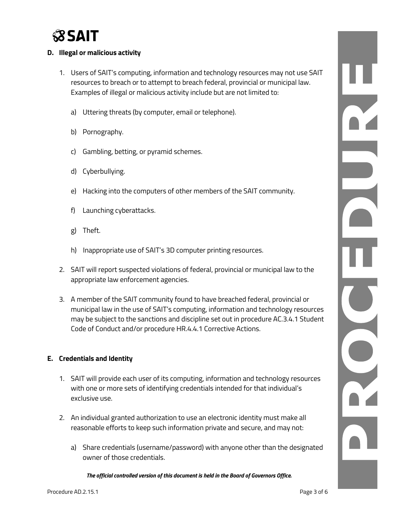

### **D. Illegal or malicious activity**

- 1. Users of SAIT's computing, information and technology resources may not use SAIT resources to breach or to attempt to breach federal, provincial or municipal law. Examples of illegal or malicious activity include but are not limited to:
	- a) Uttering threats (by computer, email or telephone).
	- b) Pornography.
	- c) Gambling, betting, or pyramid schemes.
	- d) Cyberbullying.
	- e) Hacking into the computers of other members of the SAIT community.
	- f) Launching cyberattacks.
	- g) Theft.
	- h) Inappropriate use of SAIT's 3D computer printing resources.
- 2. SAIT will report suspected violations of federal, provincial or municipal law to the appropriate law enforcement agencies.
- 3. A member of the SAIT community found to have breached federal, provincial or municipal law in the use of SAIT's computing, information and technology resources may be subject to the sanctions and discipline set out in procedure AC.3.4.1 Student Code of Conduct and/or procedure HR.4.4.1 Corrective Actions.

### **E. Credentials and Identity**

- 1. SAIT will provide each user of its computing, information and technology resources with one or more sets of identifying credentials intended for that individual's exclusive use.
- 2. An individual granted authorization to use an electronic identity must make all reasonable efforts to keep such information private and secure, and may not:
	- a) Share credentials (username/password) with anyone other than the designated owner of those credentials.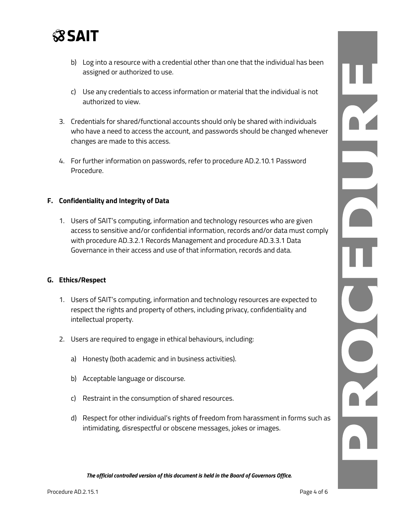

- b) Log into a resource with a credential other than one that the individual has been assigned or authorized to use.
- c) Use any credentials to access information or material that the individual is not authorized to view.
- 3. Credentials for shared/functional accounts should only be shared with individuals who have a need to access the account, and passwords should be changed whenever changes are made to this access.
- 4. For further information on passwords, refer to procedure AD.2.10.1 Password Procedure.

#### **F. Confidentiality and Integrity of Data**

1. Users of SAIT's computing, information and technology resources who are given access to sensitive and/or confidential information, records and/or data must comply with procedure AD.3.2.1 Records Management and procedure AD.3.3.1 Data Governance in their access and use of that information, records and data.

#### **G. Ethics/Respect**

- 1. Users of SAIT's computing, information and technology resources are expected to respect the rights and property of others, including privacy, confidentiality and intellectual property.
- 2. Users are required to engage in ethical behaviours, including:
	- a) Honesty (both academic and in business activities).
	- b) Acceptable language or discourse.
	- c) Restraint in the consumption of shared resources.
	- d) Respect for other individual's rights of freedom from harassment in forms such as intimidating, disrespectful or obscene messages, jokes or images.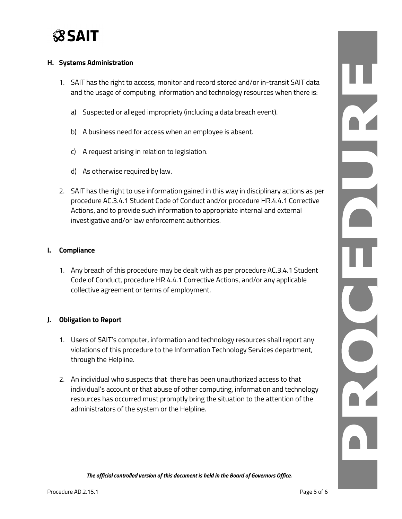

### **H. Systems Administration**

- 1. SAIT has the right to access, monitor and record stored and/or in-transit SAIT data and the usage of computing, information and technology resources when there is:
	- a) Suspected or alleged impropriety (including a data breach event).
	- b) A business need for access when an employee is absent.
	- c) A request arising in relation to legislation.
	- d) As otherwise required by law.
- 2. SAIT has the right to use information gained in this way in disciplinary actions as per procedure AC.3.4.1 Student Code of Conduct and/or procedure HR.4.4.1 Corrective Actions, and to provide such information to appropriate internal and external investigative and/or law enforcement authorities.

### **I. Compliance**

1. Any breach of this procedure may be dealt with as per procedure AC.3.4.1 Student Code of Conduct, procedure HR.4.4.1 Corrective Actions, and/or any applicable collective agreement or terms of employment.

#### **J. Obligation to Report**

- 1. Users of SAIT's computer, information and technology resources shall report any violations of this procedure to the Information Technology Services department, through the Helpline.
- 2. An individual who suspects that there has been unauthorized access to that individual's account or that abuse of other computing, information and technology resources has occurred must promptly bring the situation to the attention of the administrators of the system or the Helpline.

PAID NOT DIR CIT